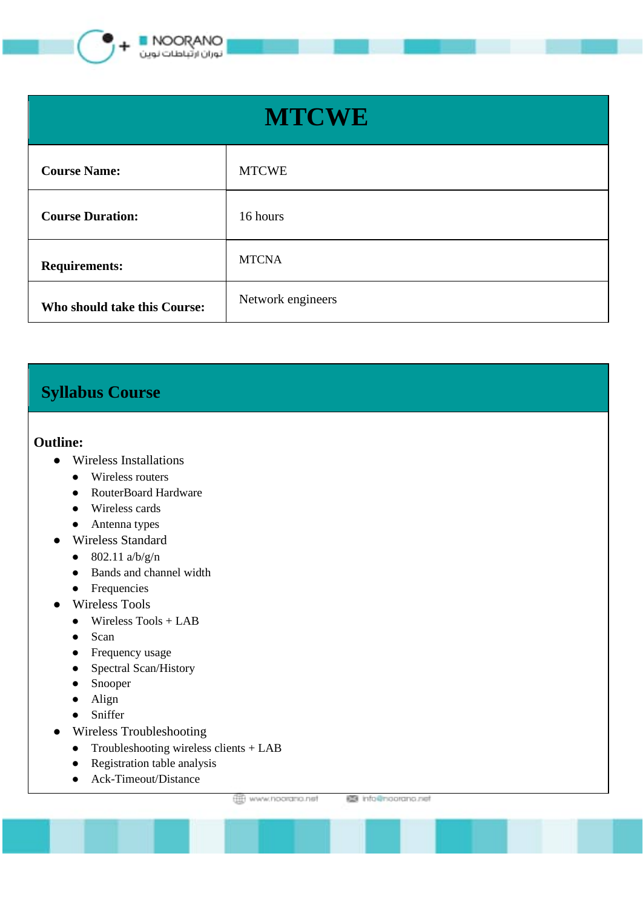

| <b>MTCWE</b>                 |                   |
|------------------------------|-------------------|
| <b>Course Name:</b>          | <b>MTCWE</b>      |
| <b>Course Duration:</b>      | 16 hours          |
| <b>Requirements:</b>         | <b>MTCNA</b>      |
| Who should take this Course: | Network engineers |

## **Syllabus Course**

## **Outline:**

- Wireless Installations
	- Wireless routers
	- RouterBoard Hardware
	- Wireless cards
	- Antenna types
- Wireless Standard
	- 802.11  $a/b/g/n$
	- Bands and channel width
	- Frequencies
- Wireless Tools
	- $\bullet$  Wireless Tools + LAB
	- Scan
	- Frequency usage
	- Spectral Scan/History
	- Snooper
	- Align
	- Sniffer
- Wireless Troubleshooting
	- Troubleshooting wireless clients + LAB
	- Registration table analysis
	- Ack-Timeout/Distance

www.hoorano.net

图 info@noorano.net